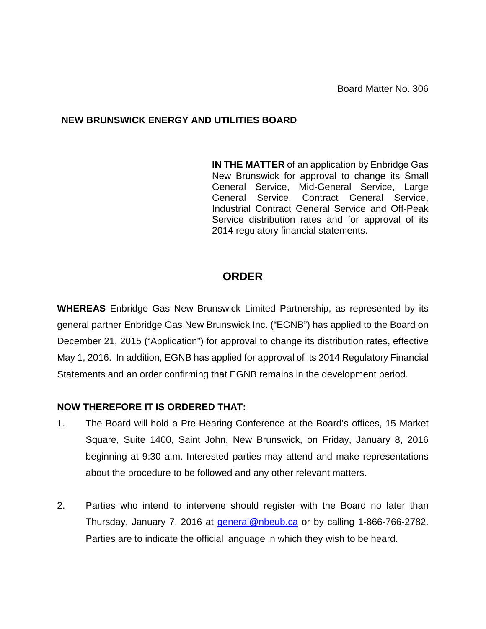## **NEW BRUNSWICK ENERGY AND UTILITIES BOARD**

**IN THE MATTER** of an application by Enbridge Gas New Brunswick for approval to change its Small General Service, Mid-General Service, Large General Service, Contract General Service, Industrial Contract General Service and Off-Peak Service distribution rates and for approval of its 2014 regulatory financial statements.

## **ORDER**

**WHEREAS** Enbridge Gas New Brunswick Limited Partnership, as represented by its general partner Enbridge Gas New Brunswick Inc. ("EGNB") has applied to the Board on December 21, 2015 ("Application") for approval to change its distribution rates, effective May 1, 2016. In addition, EGNB has applied for approval of its 2014 Regulatory Financial Statements and an order confirming that EGNB remains in the development period.

## **NOW THEREFORE IT IS ORDERED THAT:**

- 1. The Board will hold a Pre-Hearing Conference at the Board's offices, 15 Market Square, Suite 1400, Saint John, New Brunswick, on Friday, January 8, 2016 beginning at 9:30 a.m. Interested parties may attend and make representations about the procedure to be followed and any other relevant matters.
- 2. Parties who intend to intervene should register with the Board no later than Thursday, January 7, 2016 at [general@nbeub.ca](mailto:general@nbeub.ca) or by calling 1-866-766-2782. Parties are to indicate the official language in which they wish to be heard.